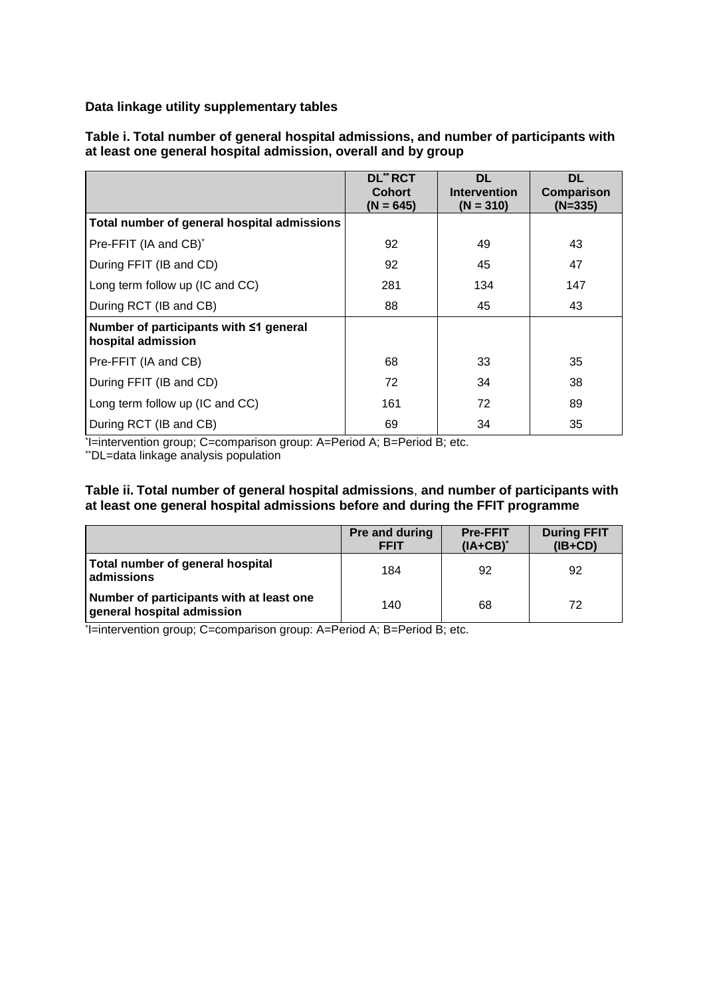**Data linkage utility supplementary tables** 

|                                                              | <b>DL** RCT</b><br><b>Cohort</b><br>$(N = 645)$ | <b>DL</b><br><b>Intervention</b><br>$(N = 310)$ | <b>DL</b><br>Comparison<br>$(N=335)$ |
|--------------------------------------------------------------|-------------------------------------------------|-------------------------------------------------|--------------------------------------|
| Total number of general hospital admissions                  |                                                 |                                                 |                                      |
| Pre-FFIT (IA and CB) <sup>*</sup>                            | 92                                              | 49                                              | 43                                   |
| During FFIT (IB and CD)                                      | 92                                              | 45                                              | 47                                   |
| Long term follow up (IC and CC)                              | 281                                             | 134                                             | 147                                  |
| During RCT (IB and CB)                                       | 88                                              | 45                                              | 43                                   |
| Number of participants with ≤1 general<br>hospital admission |                                                 |                                                 |                                      |
| Pre-FFIT (IA and CB)                                         | 68                                              | 33                                              | 35                                   |
| During FFIT (IB and CD)                                      | 72                                              | 34                                              | 38                                   |
| Long term follow up (IC and CC)                              | 161                                             | 72                                              | 89                                   |
| During RCT (IB and CB)                                       | 69                                              | 34                                              | 35                                   |

**Table i. Total number of general hospital admissions, and number of participants with at least one general hospital admission, overall and by group**

\* I=intervention group; C=comparison group: A=Period A; B=Period B; etc.

\*\*DL=data linkage analysis population

#### **Table ii. Total number of general hospital admissions**, **and number of participants with at least one general hospital admissions before and during the FFIT programme**

|                                                                        | Pre and during<br><b>FFIT</b> | <b>Pre-FFIT</b><br>$(IA+CB)^*$ | <b>During FFIT</b><br>$(IB+CD)$ |
|------------------------------------------------------------------------|-------------------------------|--------------------------------|---------------------------------|
| Total number of general hospital<br>admissions                         | 184                           | 92                             | 92                              |
| Number of participants with at least one<br>general hospital admission | 140                           | 68                             | 72                              |

\* I=intervention group; C=comparison group: A=Period A; B=Period B; etc.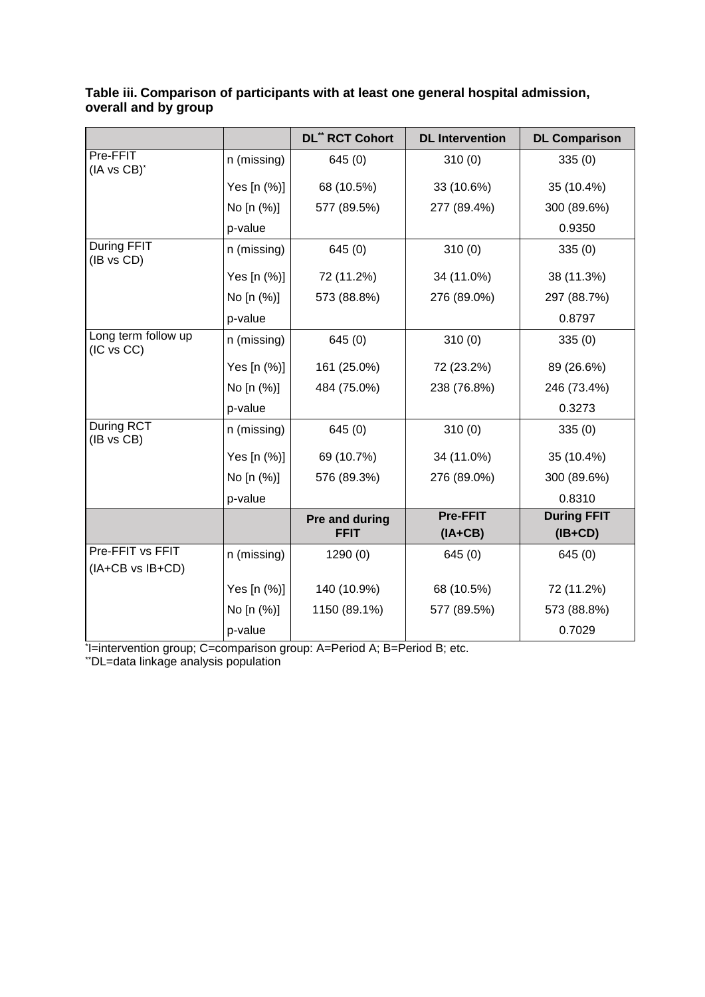|                                      |             | <b>DL" RCT Cohort</b>         | <b>DL</b> Intervention       | <b>DL Comparison</b>            |
|--------------------------------------|-------------|-------------------------------|------------------------------|---------------------------------|
| Pre-FFIT<br>(IA vs CB)*              | n (missing) | 645(0)                        | 310(0)                       | 335(0)                          |
|                                      | Yes [n (%)] | 68 (10.5%)                    | 33 (10.6%)                   | 35 (10.4%)                      |
|                                      | No [n (%)]  | 577 (89.5%)                   | 277 (89.4%)                  | 300 (89.6%)                     |
|                                      | p-value     |                               |                              | 0.9350                          |
| During FFIT<br>(IB vs CD)            | n (missing) | 645(0)                        | 310(0)                       | 335(0)                          |
|                                      | Yes [n (%)] | 72 (11.2%)                    | 34 (11.0%)                   | 38 (11.3%)                      |
|                                      | No [n (%)]  | 573 (88.8%)                   | 276 (89.0%)                  | 297 (88.7%)                     |
|                                      | p-value     |                               |                              | 0.8797                          |
| Long term follow up<br>(IC vs CC)    | n (missing) | 645(0)                        | 310(0)                       | 335(0)                          |
|                                      | Yes [n (%)] | 161 (25.0%)                   | 72 (23.2%)                   | 89 (26.6%)                      |
|                                      | No [n (%)]  | 484 (75.0%)                   | 238 (76.8%)                  | 246 (73.4%)                     |
|                                      | p-value     |                               |                              | 0.3273                          |
| <b>During RCT</b><br>(IB vs CB)      | n (missing) | 645(0)                        | 310(0)                       | 335(0)                          |
|                                      | Yes [n (%)] | 69 (10.7%)                    | 34 (11.0%)                   | 35 (10.4%)                      |
|                                      | No [n (%)]  | 576 (89.3%)                   | 276 (89.0%)                  | 300 (89.6%)                     |
|                                      | p-value     |                               |                              | 0.8310                          |
|                                      |             | Pre and during<br><b>FFIT</b> | <b>Pre-FFIT</b><br>$(IA+CB)$ | <b>During FFIT</b><br>$(IB+CD)$ |
| Pre-FFIT vs FFIT<br>(IA+CB vs IB+CD) | n (missing) | 1290(0)                       | 645(0)                       | 645(0)                          |
|                                      | Yes [n (%)] | 140 (10.9%)                   | 68 (10.5%)                   | 72 (11.2%)                      |
|                                      | No [n (%)]  | 1150 (89.1%)                  | 577 (89.5%)                  | 573 (88.8%)                     |
|                                      | p-value     |                               |                              | 0.7029                          |

# **Table iii. Comparison of participants with at least one general hospital admission, overall and by group**

\* I=intervention group; C=comparison group: A=Period A; B=Period B; etc.

\*\*DL=data linkage analysis population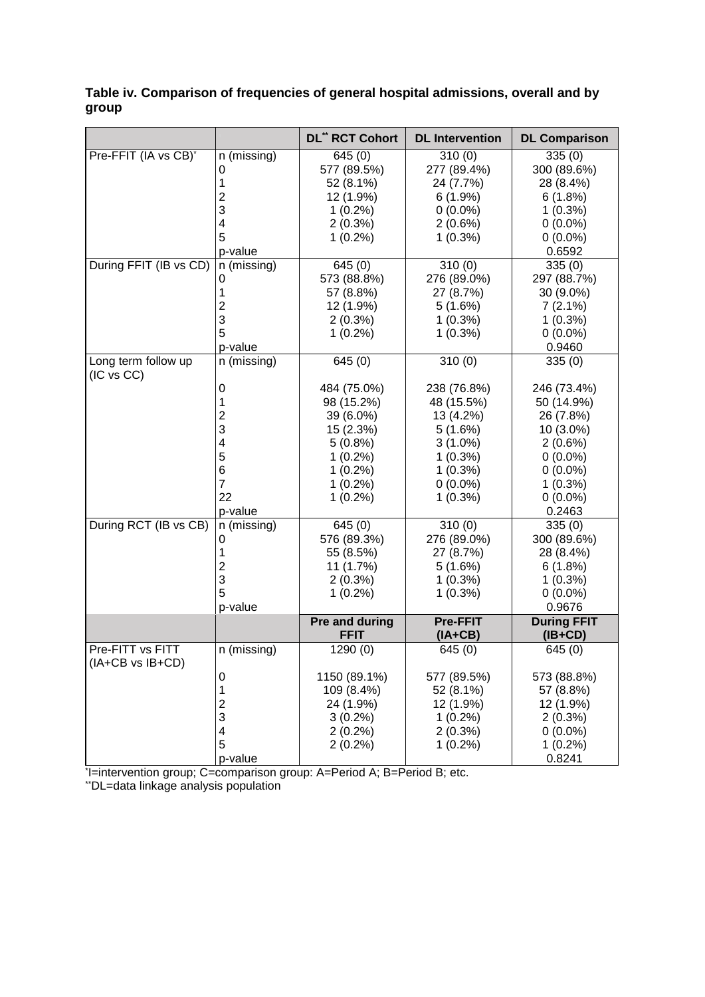# **Table iv. Comparison of frequencies of general hospital admissions, overall and by group**

|                                   |                         | <b>DL" RCT Cohort</b>         | <b>DL</b> Intervention       | <b>DL Comparison</b>            |
|-----------------------------------|-------------------------|-------------------------------|------------------------------|---------------------------------|
| Pre-FFIT (IA vs CB)*              | n (missing)             | 645(0)                        | 310(0)                       | 335(0)                          |
|                                   | 0                       | 577 (89.5%)                   | 277 (89.4%)                  | 300 (89.6%)                     |
|                                   | 1                       | 52 (8.1%)                     | 24 (7.7%)                    | 28 (8.4%)                       |
|                                   | $\overline{2}$          | 12 (1.9%)                     | 6(1.9%)                      | 6(1.8%)                         |
|                                   | 3                       | $1(0.2\%)$                    | $0(0.0\%)$                   | $1(0.3\%)$                      |
|                                   | 4                       | $2(0.3\%)$                    | 2(0.6%)                      | $0(0.0\%)$                      |
|                                   | 5                       | $1(0.2\%)$                    | $1(0.3\%)$                   | $0(0.0\%)$                      |
|                                   | p-value                 |                               |                              | 0.6592                          |
| During FFIT (IB vs CD)            | n (missing)             | 645(0)                        | 310(0)                       | 335(0)                          |
|                                   | 0                       | 573 (88.8%)                   | 276 (89.0%)                  | 297 (88.7%)                     |
|                                   | 1                       | 57 (8.8%)                     | 27 (8.7%)                    | 30 (9.0%)                       |
|                                   | $\overline{2}$          | 12 (1.9%)                     | 5(1.6%)                      | 7(2.1%)                         |
|                                   | 3                       | $2(0.3\%)$                    | $1(0.3\%)$                   | $1(0.3\%)$                      |
|                                   | 5                       | $1(0.2\%)$                    | $1(0.3\%)$                   | $0(0.0\%)$                      |
|                                   | p-value                 |                               |                              | 0.9460                          |
| Long term follow up<br>(IC vs CC) | n (missing)             | 645(0)                        | 310(0)                       | 335(0)                          |
|                                   | 0                       | 484 (75.0%)                   | 238 (76.8%)                  | 246 (73.4%)                     |
|                                   | 1                       | 98 (15.2%)                    | 48 (15.5%)                   | 50 (14.9%)                      |
|                                   | 2                       | 39 (6.0%)                     | 13 (4.2%)                    | 26 (7.8%)                       |
|                                   | 3                       | 15 (2.3%)                     | 5(1.6%)                      | 10 (3.0%)                       |
|                                   | 4                       | $5(0.8\%)$                    | $3(1.0\%)$                   | $2(0.6\%)$                      |
|                                   | 5                       | $1(0.2\%)$                    | $1(0.3\%)$                   | $0(0.0\%)$                      |
|                                   | 6                       | $1(0.2\%)$                    | $1(0.3\%)$                   | $0(0.0\%)$                      |
|                                   | 7                       | $1(0.2\%)$                    | $0(0.0\%)$                   | $1(0.3\%)$                      |
|                                   | 22                      | $1(0.2\%)$                    | $1(0.3\%)$                   | $0(0.0\%)$                      |
|                                   | p-value                 |                               |                              | 0.2463                          |
| During RCT (IB vs CB)             | n (missing)             | 645(0)                        | 310(0)                       | 335(0)                          |
|                                   | 0                       | 576 (89.3%)                   | 276 (89.0%)                  | 300 (89.6%)                     |
|                                   | 1                       | 55 (8.5%)                     | 27 (8.7%)                    | 28 (8.4%)                       |
|                                   | 2                       | 11 (1.7%)                     | 5(1.6%)                      | 6(1.8%)                         |
|                                   | 3                       | $2(0.3\%)$                    | $1(0.3\%)$                   | $1(0.3\%)$                      |
|                                   | 5                       | $1(0.2\%)$                    | $1(0.3\%)$                   | $0(0.0\%)$                      |
|                                   | p-value                 |                               |                              | 0.9676                          |
|                                   |                         | Pre and during<br><b>FFIT</b> | <b>Pre-FFIT</b><br>$(IA+CB)$ | <b>During FFIT</b><br>$(IB+CD)$ |
| Pre-FITT vs FITT                  | n (missing)             | 1290 (0)                      | 645(0)                       | 645(0)                          |
| $(IA+CB \text{ vs } IB+CD)$       |                         |                               |                              |                                 |
|                                   | 0                       | 1150 (89.1%)                  | 577 (89.5%)                  | 573 (88.8%)                     |
|                                   | 1                       | 109 (8.4%)                    | 52 (8.1%)                    | 57 (8.8%)                       |
|                                   | $\overline{\mathbf{c}}$ | 24 (1.9%)                     | 12 (1.9%)                    | 12 (1.9%)                       |
|                                   | 3                       | $3(0.2\%)$                    | $1(0.2\%)$                   | $2(0.3\%)$                      |
|                                   | 4                       | $2(0.2\%)$                    | $2(0.3\%)$                   | $0(0.0\%)$                      |
|                                   | 5                       | $2(0.2\%)$                    | $1(0.2\%)$                   | $1(0.2\%)$                      |
|                                   | p-value                 |                               |                              | 0.8241                          |

\* I=intervention group; C=comparison group: A=Period A; B=Period B; etc.

\*\*DL=data linkage analysis population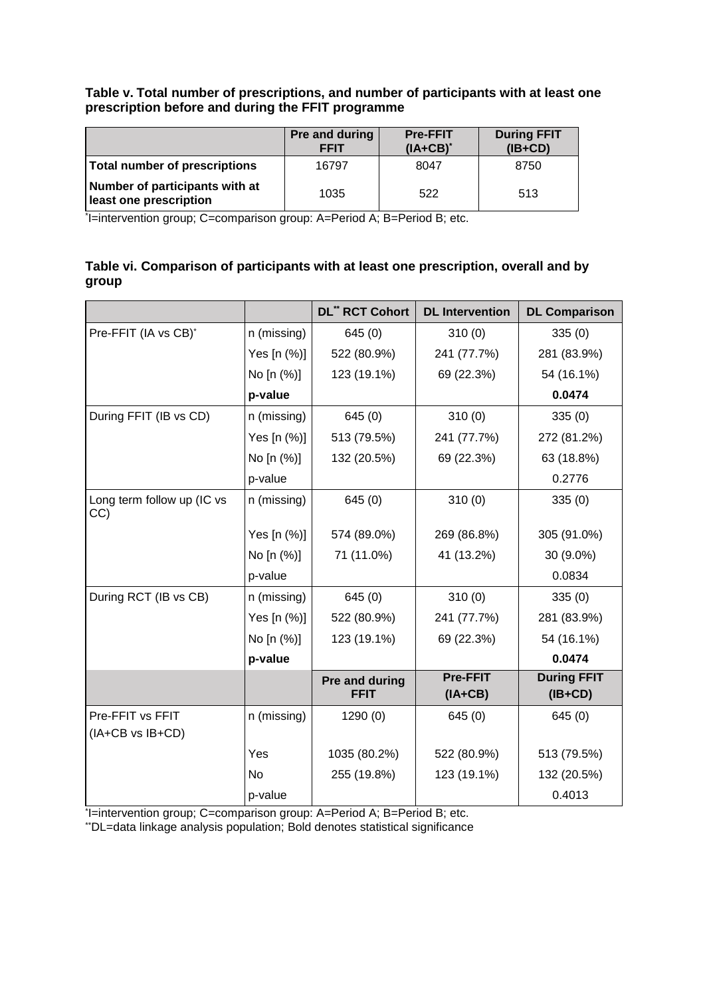# **Table v. Total number of prescriptions, and number of participants with at least one prescription before and during the FFIT programme**

|                                                          | Pre and during<br><b>FFIT</b> | <b>Pre-FFIT</b><br>$(IA+CB)^*$ | <b>During FFIT</b><br>$(IB+CD)$ |
|----------------------------------------------------------|-------------------------------|--------------------------------|---------------------------------|
| Total number of prescriptions                            | 16797                         | 8047                           | 8750                            |
| Number of participants with at<br>least one prescription | 1035                          | 522                            | 513                             |

\* I=intervention group; C=comparison group: A=Period A; B=Period B; etc.

# **Table vi. Comparison of participants with at least one prescription, overall and by group**

|                                   |             | <b>DL** RCT Cohort</b> | <b>DL</b> Intervention | <b>DL Comparison</b> |
|-----------------------------------|-------------|------------------------|------------------------|----------------------|
| Pre-FFIT (IA vs CB)*              | n (missing) | 645(0)                 | 310(0)                 | 335(0)               |
|                                   | Yes [n (%)] | 522 (80.9%)            | 241 (77.7%)            | 281 (83.9%)          |
|                                   | No [n (%)]  | 123 (19.1%)            | 69 (22.3%)             | 54 (16.1%)           |
|                                   | p-value     |                        |                        | 0.0474               |
| During FFIT (IB vs CD)            | n (missing) | 645(0)                 | 310(0)                 | 335(0)               |
|                                   | Yes [n (%)] | 513 (79.5%)            | 241 (77.7%)            | 272 (81.2%)          |
|                                   | No [n (%)]  | 132 (20.5%)            | 69 (22.3%)             | 63 (18.8%)           |
|                                   | p-value     |                        |                        | 0.2776               |
| Long term follow up (IC vs<br>CC) | n (missing) | 645(0)                 | 310(0)                 | 335(0)               |
|                                   | Yes [n (%)] | 574 (89.0%)            | 269 (86.8%)            | 305 (91.0%)          |
|                                   | No [n (%)]  | 71 (11.0%)             | 41 (13.2%)             | 30 (9.0%)            |
|                                   | p-value     |                        |                        | 0.0834               |
| During RCT (IB vs CB)             | n (missing) | 645(0)                 | 310(0)                 | 335(0)               |
|                                   | Yes [n (%)] | 522 (80.9%)            | 241 (77.7%)            | 281 (83.9%)          |
|                                   | No [n (%)]  | 123 (19.1%)            | 69 (22.3%)             | 54 (16.1%)           |
|                                   | p-value     |                        |                        | 0.0474               |
|                                   |             | Pre and during         | <b>Pre-FFIT</b>        | <b>During FFIT</b>   |
|                                   |             | <b>FFIT</b>            | $(IA+CB)$              | $(IB+CD)$            |
| Pre-FFIT vs FFIT                  | n (missing) | 1290 (0)               | 645(0)                 | 645(0)               |
| (IA+CB vs IB+CD)                  |             |                        |                        |                      |
|                                   | Yes         | 1035 (80.2%)           | 522 (80.9%)            | 513 (79.5%)          |
|                                   | No.         | 255 (19.8%)            | 123 (19.1%)            | 132 (20.5%)          |
|                                   | p-value     |                        |                        | 0.4013               |

\* I=intervention group; C=comparison group: A=Period A; B=Period B; etc.

\*\*DL=data linkage analysis population; Bold denotes statistical significance